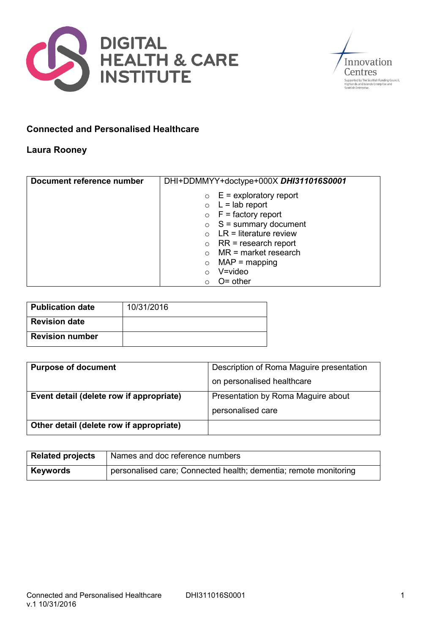



## **Connected and Personalised Healthcare**

## **Laura Rooney**

| Document reference number | DHI+DDMMYY+doctype+000X DHI311016S0001 |
|---------------------------|----------------------------------------|
|                           | $\circ$ E = exploratory report         |
|                           | $\circ$ L = lab report                 |
|                           | $\circ$ F = factory report             |
|                           | $\circ$ S = summary document           |
|                           | $LR =$ literature review               |
|                           | $RR = research report$<br>$\circ$      |
|                           | $MR = market research$                 |
|                           | $MAP = mapping$<br>$\circ$             |
|                           | $V = video$                            |
|                           | $O =$ other                            |

| Publication date       | 10/31/2016 |
|------------------------|------------|
| <b>Revision date</b>   |            |
| <b>Revision number</b> |            |

| <b>Purpose of document</b>               | Description of Roma Maguire presentation |
|------------------------------------------|------------------------------------------|
|                                          | on personalised healthcare               |
| Event detail (delete row if appropriate) | Presentation by Roma Maguire about       |
|                                          | personalised care                        |
| Other detail (delete row if appropriate) |                                          |

| <b>Related projects</b> | Names and doc reference numbers                                  |
|-------------------------|------------------------------------------------------------------|
| <b>Keywords</b>         | personalised care; Connected health; dementia; remote monitoring |